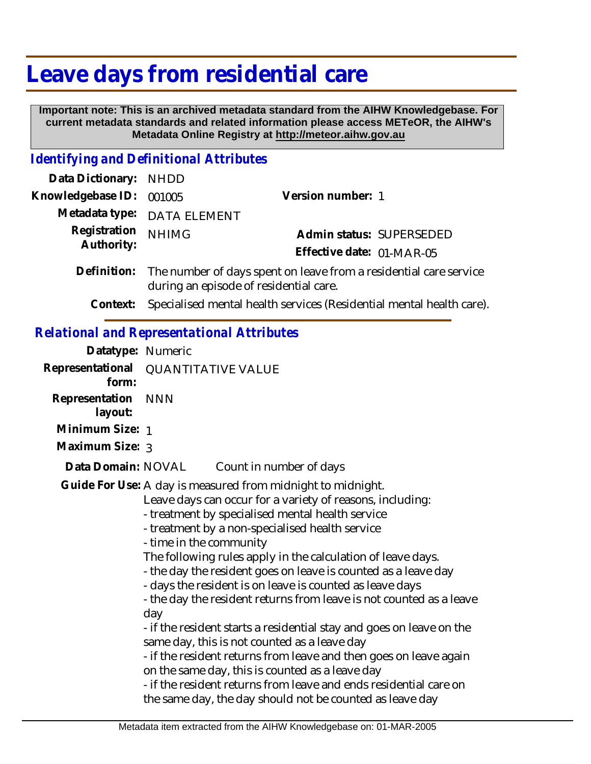# **Leave days from residential care**

 **Important note: This is an archived metadata standard from the AIHW Knowledgebase. For current metadata standards and related information please access METeOR, the AIHW's Metadata Online Registry at http://meteor.aihw.gov.au**

#### *Identifying and Definitional Attributes*

| Data Dictionary: NHDD            |                                                                            |                           |                          |
|----------------------------------|----------------------------------------------------------------------------|---------------------------|--------------------------|
| Knowledgebase ID: 001005         |                                                                            | Version number: 1         |                          |
|                                  | Metadata type: DATA ELEMENT                                                |                           |                          |
| Registration NHIMG<br>Authority: |                                                                            |                           | Admin status: SUPERSEDED |
|                                  |                                                                            | Effective date: 01-MAR-05 |                          |
|                                  | Definition. The number of days spent on leave from a residential eare seny |                           |                          |

- Definition: The number of days spent on leave from a residential care service during an episode of residential care.
	- **Context:** Specialised mental health services (Residential mental health care).

### *Relational and Representational Attributes*

| Datatype: Numeric                                                                                                                                                                                                                                                                                                                                                                                                                                                                                                                                                                                                                                                                                                                                                                                                                                                                                                      |                                     |
|------------------------------------------------------------------------------------------------------------------------------------------------------------------------------------------------------------------------------------------------------------------------------------------------------------------------------------------------------------------------------------------------------------------------------------------------------------------------------------------------------------------------------------------------------------------------------------------------------------------------------------------------------------------------------------------------------------------------------------------------------------------------------------------------------------------------------------------------------------------------------------------------------------------------|-------------------------------------|
| form:                                                                                                                                                                                                                                                                                                                                                                                                                                                                                                                                                                                                                                                                                                                                                                                                                                                                                                                  | Representational QUANTITATIVE VALUE |
| Representation<br>layout:                                                                                                                                                                                                                                                                                                                                                                                                                                                                                                                                                                                                                                                                                                                                                                                                                                                                                              | <b>NNN</b>                          |
| Minimum Size: 1                                                                                                                                                                                                                                                                                                                                                                                                                                                                                                                                                                                                                                                                                                                                                                                                                                                                                                        |                                     |
| Maximum Size: 3                                                                                                                                                                                                                                                                                                                                                                                                                                                                                                                                                                                                                                                                                                                                                                                                                                                                                                        |                                     |
| Data Domain: NOVAL                                                                                                                                                                                                                                                                                                                                                                                                                                                                                                                                                                                                                                                                                                                                                                                                                                                                                                     | Count in number of days             |
| Guide For Use: A day is measured from midnight to midnight.<br>Leave days can occur for a variety of reasons, including:<br>- treatment by specialised mental health service<br>- treatment by a non-specialised health service<br>- time in the community<br>The following rules apply in the calculation of leave days.<br>- the day the resident goes on leave is counted as a leave day<br>- days the resident is on leave is counted as leave days<br>- the day the resident returns from leave is not counted as a leave<br>day<br>- if the resident starts a residential stay and goes on leave on the<br>same day, this is not counted as a leave day<br>- if the resident returns from leave and then goes on leave again<br>on the same day, this is counted as a leave day<br>- if the resident returns from leave and ends residential care on<br>the same day, the day should not be counted as leave day |                                     |